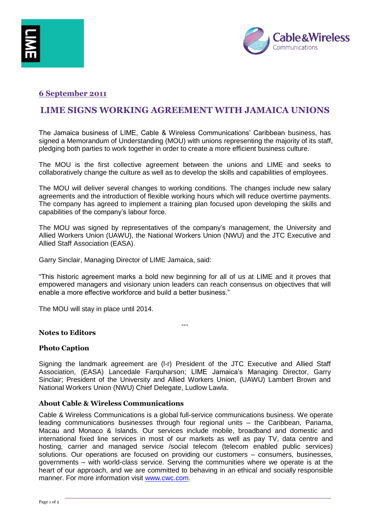

### **6 September 2011**

# **LIME SIGNS WORKING AGREEMENT WITH JAMAICA UNIONS**

The Jamaica business of LIME, Cable & Wireless Communications' Caribbean business, has signed a Memorandum of Understanding (MOU) with unions representing the majority of its staff, pledging both parties to work together in order to create a more efficient business culture.

The MOU is the first collective agreement between the unions and LIME and seeks to collaboratively change the culture as well as to develop the skills and capabilities of employees.

The MOU will deliver several changes to working conditions. The changes include new salary agreements and the introduction of flexible working hours which will reduce overtime payments. The company has agreed to implement a training plan focused upon developing the skills and capabilities of the company's labour force.

The MOU was signed by representatives of the company's management, the University and Allied Workers Union (UAWU), the National Workers Union (NWU) and the JTC Executive and Allied Staff Association (EASA).

Garry Sinclair, Managing Director of LIME Jamaica, said:

"This historic agreement marks a bold new beginning for all of us at LIME and it proves that empowered managers and visionary union leaders can reach consensus on objectives that will enable a more effective workforce and build a better business."

---

The MOU will stay in place until 2014.

## **Notes to Editors**

#### **Photo Caption**

Signing the landmark agreement are (l-r) President of the JTC Executive and Allied Staff Association, (EASA) Lancedale Farquharson; LIME Jamaica's Managing Director, Garry Sinclair; President of the University and Allied Workers Union, (UAWU) Lambert Brown and National Workers Union (NWU) Chief Delegate, Ludlow Lawla.

#### **About Cable & Wireless Communications**

Cable & Wireless Communications is a global full-service communications business. We operate leading communications businesses through four regional units – the Caribbean, Panama, Macau and Monaco & Islands. Our services include mobile, broadband and domestic and international fixed line services in most of our markets as well as pay TV, data centre and hosting, carrier and managed service /social telecom (telecom enabled public services) solutions. Our operations are focused on providing our customers – consumers, businesses, governments – with world-class service. Serving the communities where we operate is at the heart of our approach, and we are committed to behaving in an ethical and socially responsible manner. For more information visit [www.cwc.com.](http://www.cwc.com/)